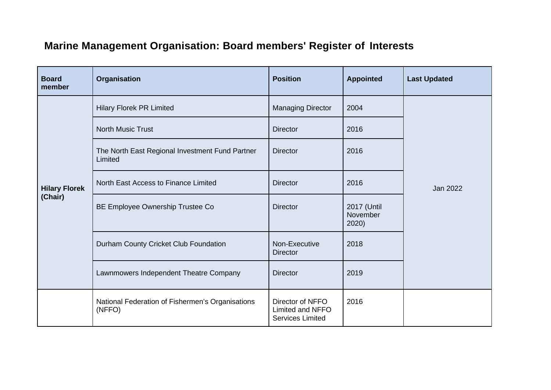## **Marine Management Organisation: Board members' Register of Interests**

| <b>Board</b><br>member          | Organisation                                               | <b>Position</b>                                                 | <b>Appointed</b>                 | <b>Last Updated</b> |
|---------------------------------|------------------------------------------------------------|-----------------------------------------------------------------|----------------------------------|---------------------|
| <b>Hilary Florek</b><br>(Chair) | <b>Hilary Florek PR Limited</b>                            | <b>Managing Director</b>                                        | 2004                             | Jan 2022            |
|                                 | <b>North Music Trust</b>                                   | <b>Director</b>                                                 | 2016                             |                     |
|                                 | The North East Regional Investment Fund Partner<br>Limited | <b>Director</b>                                                 | 2016                             |                     |
|                                 | North East Access to Finance Limited                       | <b>Director</b>                                                 | 2016                             |                     |
|                                 | BE Employee Ownership Trustee Co                           | <b>Director</b>                                                 | 2017 (Until<br>November<br>2020) |                     |
|                                 | Durham County Cricket Club Foundation                      | Non-Executive<br><b>Director</b>                                | 2018                             |                     |
|                                 | Lawnmowers Independent Theatre Company                     | <b>Director</b>                                                 | 2019                             |                     |
|                                 | National Federation of Fishermen's Organisations<br>(NFFO) | Director of NFFO<br>Limited and NFFO<br><b>Services Limited</b> | 2016                             |                     |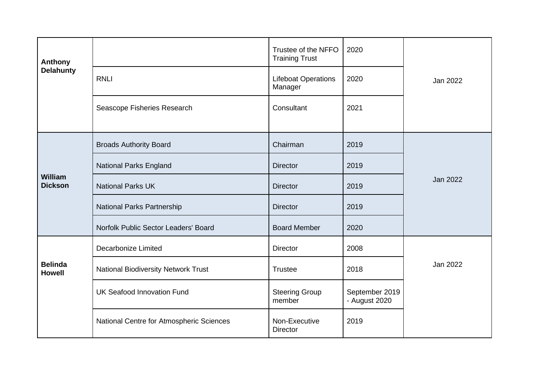| <b>Anthony</b><br><b>Delahunty</b> |                                            | Trustee of the NFFO<br><b>Training Trust</b> | 2020                            |          |
|------------------------------------|--------------------------------------------|----------------------------------------------|---------------------------------|----------|
|                                    | <b>RNLI</b>                                | <b>Lifeboat Operations</b><br>Manager        | 2020                            | Jan 2022 |
|                                    | Seascope Fisheries Research                | Consultant                                   | 2021                            |          |
|                                    | <b>Broads Authority Board</b>              | Chairman                                     | 2019                            |          |
|                                    |                                            |                                              |                                 |          |
| <b>William</b><br><b>Dickson</b>   | National Parks England                     | <b>Director</b>                              | 2019                            | Jan 2022 |
|                                    | <b>National Parks UK</b>                   | <b>Director</b>                              | 2019                            |          |
|                                    | National Parks Partnership                 | <b>Director</b>                              | 2019                            |          |
|                                    | Norfolk Public Sector Leaders' Board       | <b>Board Member</b>                          | 2020                            |          |
|                                    | <b>Decarbonize Limited</b>                 | <b>Director</b>                              | 2008                            |          |
| <b>Belinda</b><br><b>Howell</b>    | <b>National Biodiversity Network Trust</b> | <b>Trustee</b>                               | 2018                            | Jan 2022 |
|                                    | <b>UK Seafood Innovation Fund</b>          | <b>Steering Group</b><br>member              | September 2019<br>- August 2020 |          |
|                                    | National Centre for Atmospheric Sciences   | Non-Executive<br><b>Director</b>             | 2019                            |          |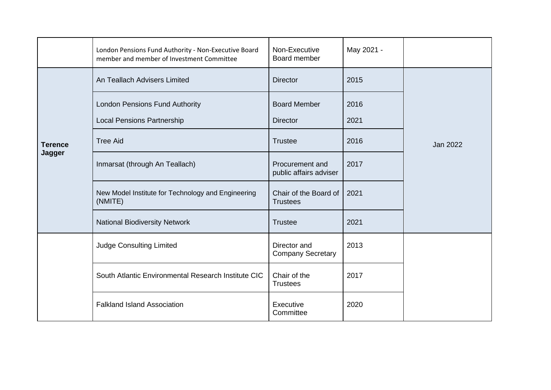|                          | London Pensions Fund Authority - Non-Executive Board<br>member and member of Investment Committee | Non-Executive<br>Board member             | May 2021 -   |                 |
|--------------------------|---------------------------------------------------------------------------------------------------|-------------------------------------------|--------------|-----------------|
| <b>Terence</b><br>Jagger | An Teallach Advisers Limited                                                                      | <b>Director</b>                           | 2015         |                 |
|                          | <b>London Pensions Fund Authority</b><br><b>Local Pensions Partnership</b>                        | <b>Board Member</b><br><b>Director</b>    | 2016<br>2021 | <b>Jan 2022</b> |
|                          | <b>Tree Aid</b>                                                                                   | <b>Trustee</b>                            | 2016         |                 |
|                          | Inmarsat (through An Teallach)                                                                    | Procurement and<br>public affairs adviser | 2017         |                 |
|                          | New Model Institute for Technology and Engineering<br>(NMITE)                                     | Chair of the Board of<br><b>Trustees</b>  | 2021         |                 |
|                          | <b>National Biodiversity Network</b>                                                              | <b>Trustee</b>                            | 2021         |                 |
|                          | <b>Judge Consulting Limited</b>                                                                   | Director and<br><b>Company Secretary</b>  | 2013         |                 |
|                          | South Atlantic Environmental Research Institute CIC                                               | Chair of the<br><b>Trustees</b>           | 2017         |                 |
|                          | <b>Falkland Island Association</b>                                                                | Executive<br>Committee                    | 2020         |                 |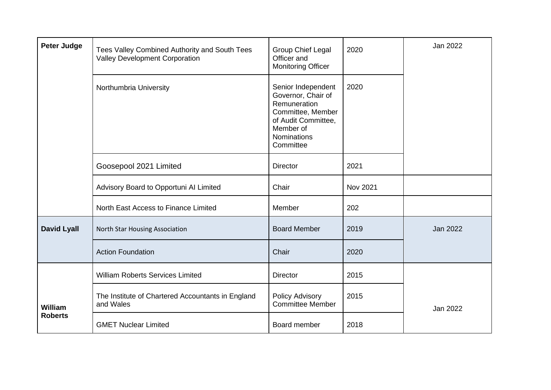| <b>Peter Judge</b>               | Tees Valley Combined Authority and South Tees<br><b>Valley Development Corporation</b> | Group Chief Legal<br>Officer and<br><b>Monitoring Officer</b>                                                                                        | 2020     | Jan 2022        |
|----------------------------------|----------------------------------------------------------------------------------------|------------------------------------------------------------------------------------------------------------------------------------------------------|----------|-----------------|
|                                  | Northumbria University                                                                 | Senior Independent<br>Governor, Chair of<br>Remuneration<br>Committee, Member<br>of Audit Committee,<br>Member of<br><b>Nominations</b><br>Committee | 2020     |                 |
|                                  | Goosepool 2021 Limited                                                                 | <b>Director</b>                                                                                                                                      | 2021     |                 |
|                                  | Advisory Board to Opportuni Al Limited                                                 | Chair                                                                                                                                                | Nov 2021 |                 |
|                                  | North East Access to Finance Limited                                                   | Member                                                                                                                                               | 202      |                 |
| <b>David Lyall</b>               | North Star Housing Association                                                         | <b>Board Member</b>                                                                                                                                  | 2019     | <b>Jan 2022</b> |
|                                  | <b>Action Foundation</b>                                                               | Chair                                                                                                                                                | 2020     |                 |
|                                  | <b>William Roberts Services Limited</b>                                                | <b>Director</b>                                                                                                                                      | 2015     |                 |
| <b>William</b><br><b>Roberts</b> | The Institute of Chartered Accountants in England<br>and Wales                         | Policy Advisory<br><b>Committee Member</b>                                                                                                           | 2015     | Jan 2022        |
|                                  | <b>GMET Nuclear Limited</b>                                                            | Board member                                                                                                                                         | 2018     |                 |